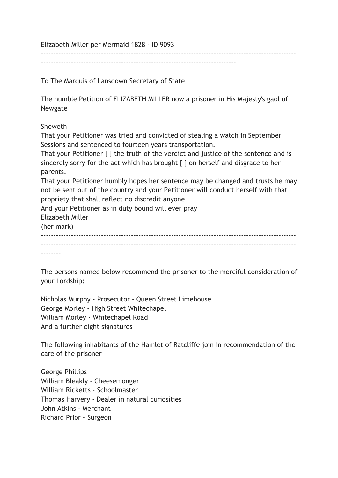Elizabeth Miller per Mermaid 1828 - ID 9093

------------------------------------------------------------------------------

To The Marquis of Lansdown Secretary of State

The humble Petition of ELIZABETH MILLER now a prisoner in His Majesty's gaol of Newgate

------------------------------------------------------------------------------------------------------

Sheweth

That your Petitioner was tried and convicted of stealing a watch in September Sessions and sentenced to fourteen years transportation.

That your Petitioner [ ] the truth of the verdict and justice of the sentence and is sincerely sorry for the act which has brought [ ] on herself and disgrace to her parents.

That your Petitioner humbly hopes her sentence may be changed and trusts he may not be sent out of the country and your Petitioner will conduct herself with that propriety that shall reflect no discredit anyone

And your Petitioner as in duty bound will ever pray Elizabeth Miller

(her mark)  $-$ ------------------------------------------------------------------------------------------------------ --------

The persons named below recommend the prisoner to the merciful consideration of your Lordship:

Nicholas Murphy - Prosecutor - Queen Street Limehouse George Morley - High Street Whitechapel William Morley - Whitechapel Road And a further eight signatures

The following inhabitants of the Hamlet of Ratcliffe join in recommendation of the care of the prisoner

George Phillips William Bleakly - Cheesemonger William Ricketts - Schoolmaster Thomas Harvery - Dealer in natural curiosities John Atkins - Merchant Richard Prior - Surgeon